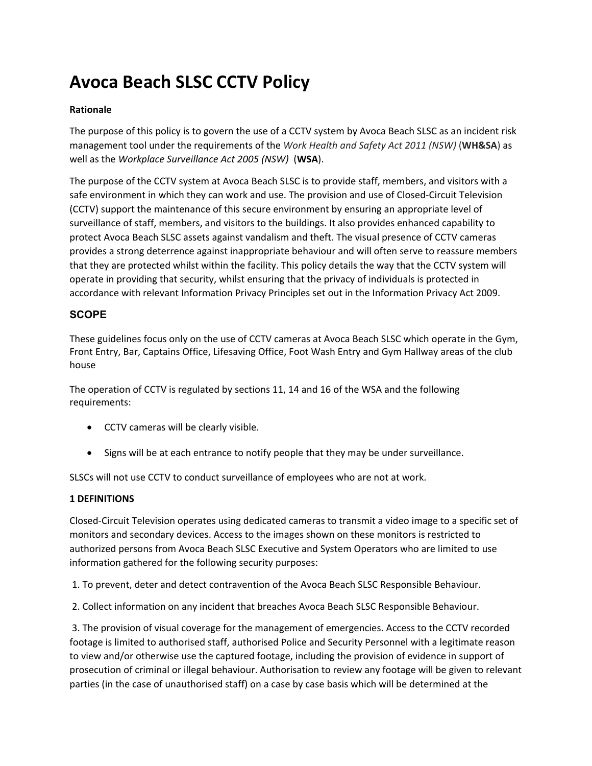# **Avoca Beach SLSC CCTV Policy**

## **Rationale**

The purpose of this policy is to govern the use of a CCTV system by Avoca Beach SLSC as an incident risk management tool under the requirements of the *Work Health and Safety Act 2011 (NSW)* (**WH&SA**) as well as the *Workplace Surveillance Act 2005 (NSW)* (**WSA**).

The purpose of the CCTV system at Avoca Beach SLSC is to provide staff, members, and visitors with a safe environment in which they can work and use. The provision and use of Closed-Circuit Television (CCTV) support the maintenance of this secure environment by ensuring an appropriate level of surveillance of staff, members, and visitors to the buildings. It also provides enhanced capability to protect Avoca Beach SLSC assets against vandalism and theft. The visual presence of CCTV cameras provides a strong deterrence against inappropriate behaviour and will often serve to reassure members that they are protected whilst within the facility. This policy details the way that the CCTV system will operate in providing that security, whilst ensuring that the privacy of individuals is protected in accordance with relevant Information Privacy Principles set out in the Information Privacy Act 2009.

# **SCOPE**

These guidelines focus only on the use of CCTV cameras at Avoca Beach SLSC which operate in the Gym, Front Entry, Bar, Captains Office, Lifesaving Office, Foot Wash Entry and Gym Hallway areas of the club house

The operation of CCTV is regulated by sections 11, 14 and 16 of the WSA and the following requirements:

- CCTV cameras will be clearly visible.
- Signs will be at each entrance to notify people that they may be under surveillance.

SLSCs will not use CCTV to conduct surveillance of employees who are not at work.

### **1 DEFINITIONS**

Closed-Circuit Television operates using dedicated cameras to transmit a video image to a specific set of monitors and secondary devices. Access to the images shown on these monitors is restricted to authorized persons from Avoca Beach SLSC Executive and System Operators who are limited to use information gathered for the following security purposes:

1. To prevent, deter and detect contravention of the Avoca Beach SLSC Responsible Behaviour.

2. Collect information on any incident that breaches Avoca Beach SLSC Responsible Behaviour.

3. The provision of visual coverage for the management of emergencies. Access to the CCTV recorded footage is limited to authorised staff, authorised Police and Security Personnel with a legitimate reason to view and/or otherwise use the captured footage, including the provision of evidence in support of prosecution of criminal or illegal behaviour. Authorisation to review any footage will be given to relevant parties (in the case of unauthorised staff) on a case by case basis which will be determined at the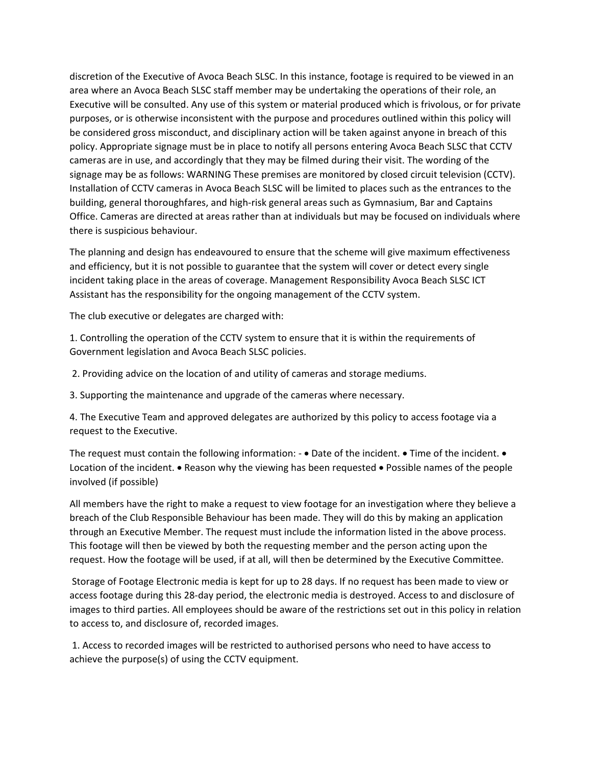discretion of the Executive of Avoca Beach SLSC. In this instance, footage is required to be viewed in an area where an Avoca Beach SLSC staff member may be undertaking the operations of their role, an Executive will be consulted. Any use of this system or material produced which is frivolous, or for private purposes, or is otherwise inconsistent with the purpose and procedures outlined within this policy will be considered gross misconduct, and disciplinary action will be taken against anyone in breach of this policy. Appropriate signage must be in place to notify all persons entering Avoca Beach SLSC that CCTV cameras are in use, and accordingly that they may be filmed during their visit. The wording of the signage may be as follows: WARNING These premises are monitored by closed circuit television (CCTV). Installation of CCTV cameras in Avoca Beach SLSC will be limited to places such as the entrances to the building, general thoroughfares, and high-risk general areas such as Gymnasium, Bar and Captains Office. Cameras are directed at areas rather than at individuals but may be focused on individuals where there is suspicious behaviour.

The planning and design has endeavoured to ensure that the scheme will give maximum effectiveness and efficiency, but it is not possible to guarantee that the system will cover or detect every single incident taking place in the areas of coverage. Management Responsibility Avoca Beach SLSC ICT Assistant has the responsibility for the ongoing management of the CCTV system.

The club executive or delegates are charged with:

1. Controlling the operation of the CCTV system to ensure that it is within the requirements of Government legislation and Avoca Beach SLSC policies.

2. Providing advice on the location of and utility of cameras and storage mediums.

3. Supporting the maintenance and upgrade of the cameras where necessary.

4. The Executive Team and approved delegates are authorized by this policy to access footage via a request to the Executive.

The request must contain the following information:  $\bullet$  Date of the incident.  $\bullet$  Time of the incident.  $\bullet$ Location of the incident. • Reason why the viewing has been requested • Possible names of the people involved (if possible)

All members have the right to make a request to view footage for an investigation where they believe a breach of the Club Responsible Behaviour has been made. They will do this by making an application through an Executive Member. The request must include the information listed in the above process. This footage will then be viewed by both the requesting member and the person acting upon the request. How the footage will be used, if at all, will then be determined by the Executive Committee.

Storage of Footage Electronic media is kept for up to 28 days. If no request has been made to view or access footage during this 28-day period, the electronic media is destroyed. Access to and disclosure of images to third parties. All employees should be aware of the restrictions set out in this policy in relation to access to, and disclosure of, recorded images.

1. Access to recorded images will be restricted to authorised persons who need to have access to achieve the purpose(s) of using the CCTV equipment.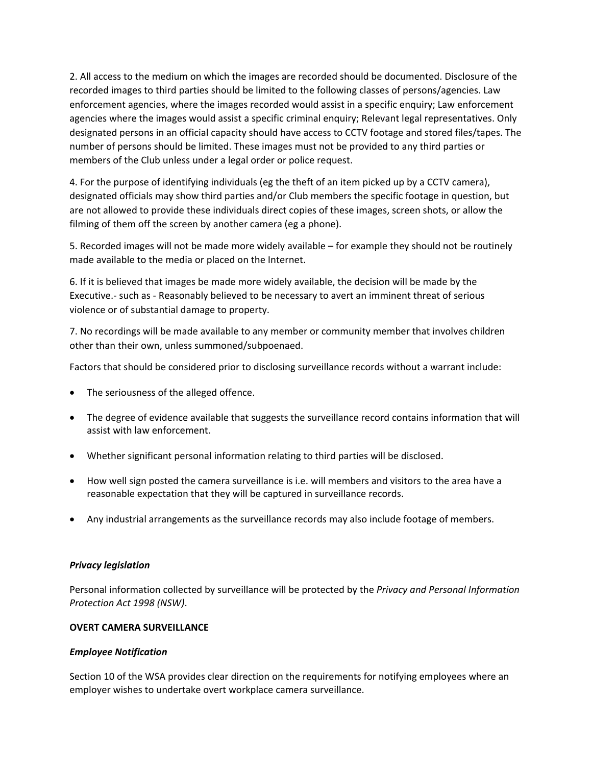2. All access to the medium on which the images are recorded should be documented. Disclosure of the recorded images to third parties should be limited to the following classes of persons/agencies. Law enforcement agencies, where the images recorded would assist in a specific enquiry; Law enforcement agencies where the images would assist a specific criminal enquiry; Relevant legal representatives. Only designated persons in an official capacity should have access to CCTV footage and stored files/tapes. The number of persons should be limited. These images must not be provided to any third parties or members of the Club unless under a legal order or police request.

4. For the purpose of identifying individuals (eg the theft of an item picked up by a CCTV camera), designated officials may show third parties and/or Club members the specific footage in question, but are not allowed to provide these individuals direct copies of these images, screen shots, or allow the filming of them off the screen by another camera (eg a phone).

5. Recorded images will not be made more widely available – for example they should not be routinely made available to the media or placed on the Internet.

6. If it is believed that images be made more widely available, the decision will be made by the Executive.- such as - Reasonably believed to be necessary to avert an imminent threat of serious violence or of substantial damage to property.

7. No recordings will be made available to any member or community member that involves children other than their own, unless summoned/subpoenaed.

Factors that should be considered prior to disclosing surveillance records without a warrant include:

- The seriousness of the alleged offence.
- The degree of evidence available that suggests the surveillance record contains information that will assist with law enforcement.
- Whether significant personal information relating to third parties will be disclosed.
- How well sign posted the camera surveillance is i.e. will members and visitors to the area have a reasonable expectation that they will be captured in surveillance records.
- Any industrial arrangements as the surveillance records may also include footage of members.

#### *Privacy legislation*

Personal information collected by surveillance will be protected by the *Privacy and Personal Information Protection Act 1998 (NSW)*.

#### **OVERT CAMERA SURVEILLANCE**

#### *Employee Notification*

Section 10 of the WSA provides clear direction on the requirements for notifying employees where an employer wishes to undertake overt workplace camera surveillance.